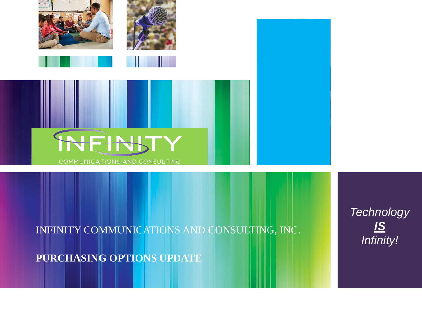

INFINITY COMMUNICATIONS AND CONSULTING, INC.

**PURCHASING OPTIONS UPDATE**

 $Technology$ *IS Infinity!*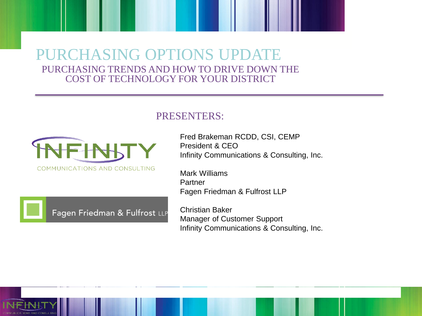### PURCHASING OPTIONS UPDATE PURCHASING TRENDS AND HOW TO DRIVE DOWN THE COST OF TECHNOLOGY FOR YOUR DISTRICT





Fagen Friedman & Fulfrost LLP

Fred Brakeman RCDD, CSI, CEMP President & CEO Infinity Communications & Consulting, Inc.

Mark Williams **Partner** Fagen Friedman & Fulfrost LLP

Christian Baker Manager of Customer Support Infinity Communications & Consulting, Inc.

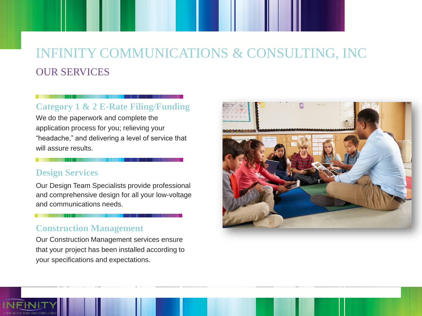## INFINITY COMMUNICATIONS & CONSULTING, INC OUR SERVICES

#### **Category 1 & 2 E-Rate Filing/Funding**

We do the paperwork and complete the application process for you; relieving your "headache," and delivering a level of service that will assure results.

#### **Design Services**

Our Design Team Specialists provide professional and comprehensive design for all your low-voltage and communications needs.

#### **Construction Management**

Our Construction Management services ensure that your project has been installed according to your specifications and expectations.

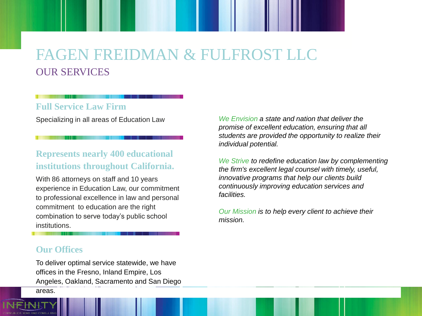## FAGEN FREIDMAN & FULFROST LLC OUR SERVICES

#### **Full Service Law Firm**

Specializing in all areas of Education Law

#### **Represents nearly 400 educational institutions throughout California.**

With 86 attorneys on staff and 10 years experience in Education Law, our commitment to professional excellence in law and personal commitment to education are the right combination to serve today's public school institutions.

*We Envision a state and nation that deliver the promise of excellent education, ensuring that all students are provided the opportunity to realize their individual potential.*

*We Strive to redefine education law by complementing the firm's excellent legal counsel with timely, useful, innovative programs that help our clients build continuously improving education services and facilities.*

*Our Mission is to help every client to achieve their mission.*

#### **Our Offices**

To deliver optimal service statewide, we have offices in the Fresno, Inland Empire, Los Angeles, Oakland, Sacramento and San Diego areas.

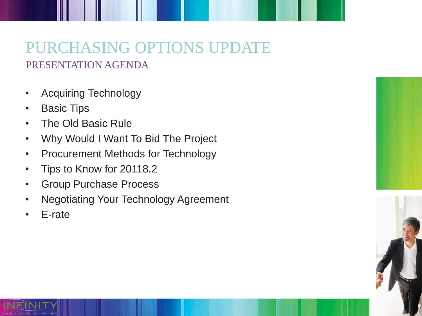## PURCHASING OPTIONS UPDATE PRESENTATION AGENDA

- Acquiring Technology
- Basic Tips
- The Old Basic Rule
- Why Would I Want To Bid The Project
- Procurement Methods for Technology
- Tips to Know for 20118.2
- Group Purchase Process
- Negotiating Your Technology Agreement
- E-rate





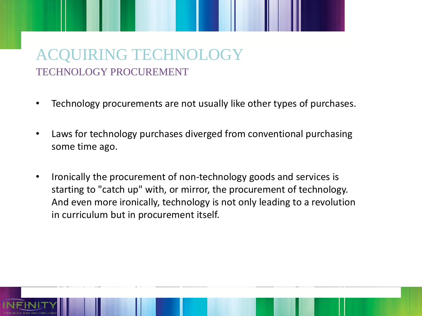## ACQUIRING TECHNOLOGY TECHNOLOGY PROCUREMENT

- Technology procurements are not usually like other types of purchases.
- Laws for technology purchases diverged from conventional purchasing some time ago.
- Ironically the procurement of non-technology goods and services is starting to "catch up" with, or mirror, the procurement of technology. And even more ironically, technology is not only leading to a revolution in curriculum but in procurement itself.

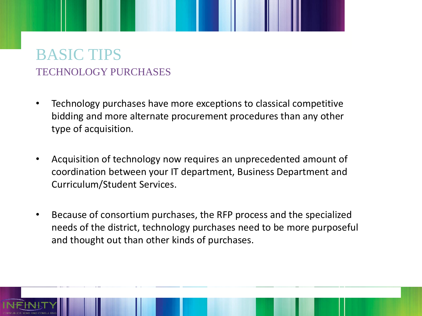### BASIC TIPS TECHNOLOGY PURCHASES

- Technology purchases have more exceptions to classical competitive bidding and more alternate procurement procedures than any other type of acquisition.
- Acquisition of technology now requires an unprecedented amount of coordination between your IT department, Business Department and Curriculum/Student Services.
- Because of consortium purchases, the RFP process and the specialized needs of the district, technology purchases need to be more purposeful and thought out than other kinds of purchases.

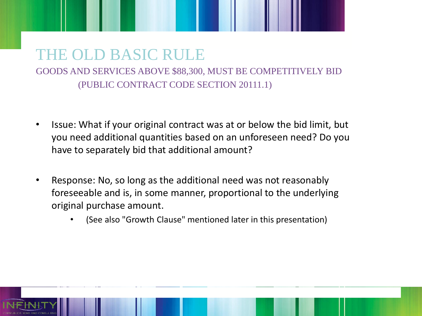### THE OLD BASIC RULE GOODS AND SERVICES ABOVE \$88,300, MUST BE COMPETITIVELY BID (PUBLIC CONTRACT CODE SECTION 20111.1)

- Issue: What if your original contract was at or below the bid limit, but you need additional quantities based on an unforeseen need? Do you have to separately bid that additional amount?
- Response: No, so long as the additional need was not reasonably foreseeable and is, in some manner, proportional to the underlying original purchase amount.
	- (See also "Growth Clause" mentioned later in this presentation)

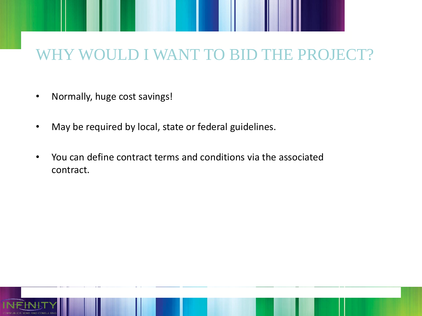# ULD I WANT TO BID THE PROJECT?

- Normally, huge cost savings!
- May be required by local, state or federal guidelines.
- You can define contract terms and conditions via the associated contract.

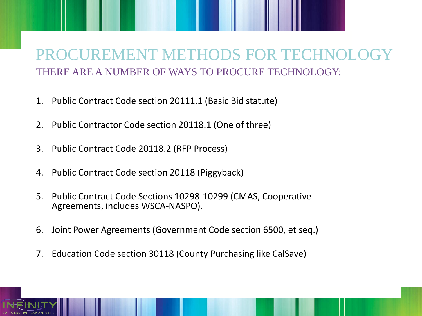## PROCUREMENT METHODS FOR TECHNOLO THERE ARE A NUMBER OF WAYS TO PROCURE TECHNOLOGY:

- 1. Public Contract Code section 20111.1 (Basic Bid statute)
- 2. Public Contractor Code section 20118.1 (One of three)
- 3. Public Contract Code 20118.2 (RFP Process)
- 4. Public Contract Code section 20118 (Piggyback)
- 5. Public Contract Code Sections 10298-10299 (CMAS, Cooperative Agreements, includes WSCA-NASPO).
- 6. Joint Power Agreements (Government Code section 6500, et seq.)
- 7. Education Code section 30118 (County Purchasing like CalSave)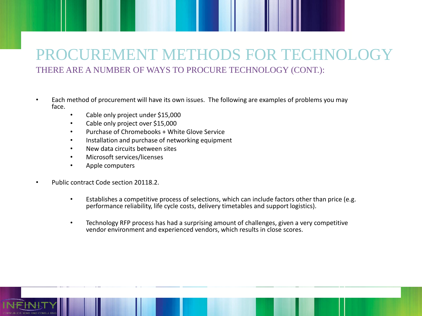### PROCUREMENT METHODS FOR TECHNOLOGY THERE ARE A NUMBER OF WAYS TO PROCURE TECHNOLOGY (CONT.):

- Each method of procurement will have its own issues. The following are examples of problems you may face.
	- Cable only project under \$15,000
	- Cable only project over \$15,000
	- Purchase of Chromebooks + White Glove Service
	- Installation and purchase of networking equipment
	- New data circuits between sites
	- Microsoft services/licenses
	- Apple computers
- Public contract Code section 20118.2.
	- Establishes a competitive process of selections, which can include factors other than price (e.g. performance reliability, life cycle costs, delivery timetables and support logistics).
	- Technology RFP process has had a surprising amount of challenges, given a very competitive vendor environment and experienced vendors, which results in close scores.

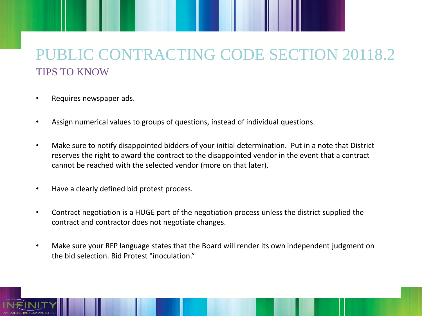## PUBLIC CONTRACTING CODE SECTION 20118.2 TIPS TO KNOW

- Requires newspaper ads.
- Assign numerical values to groups of questions, instead of individual questions.
- Make sure to notify disappointed bidders of your initial determination. Put in a note that District reserves the right to award the contract to the disappointed vendor in the event that a contract cannot be reached with the selected vendor (more on that later).
- Have a clearly defined bid protest process.
- Contract negotiation is a HUGE part of the negotiation process unless the district supplied the contract and contractor does not negotiate changes.
- Make sure your RFP language states that the Board will render its own independent judgment on the bid selection. Bid Protest "inoculation."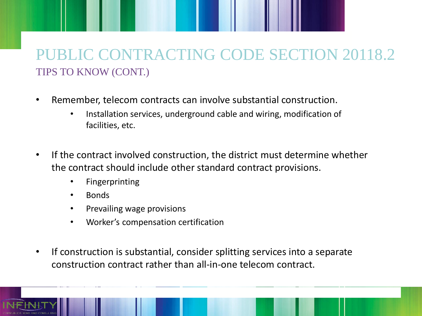## PUBLIC CONTRACTING CODE SECTION 20118.2 TIPS TO KNOW (CONT.)

- Remember, telecom contracts can involve substantial construction.
	- Installation services, underground cable and wiring, modification of facilities, etc.
- If the contract involved construction, the district must determine whether the contract should include other standard contract provisions.
	- Fingerprinting
	- Bonds
	- Prevailing wage provisions
	- Worker's compensation certification
- If construction is substantial, consider splitting services into a separate construction contract rather than all-in-one telecom contract.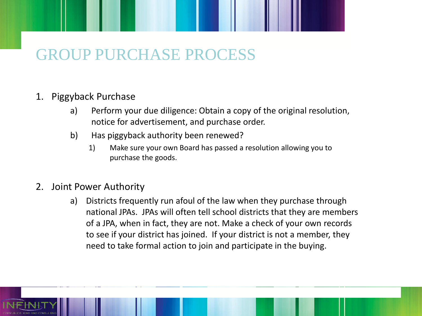# GROUP PURCHASE PROCESS

### 1. Piggyback Purchase

- a) Perform your due diligence: Obtain a copy of the original resolution, notice for advertisement, and purchase order.
- b) Has piggyback authority been renewed?
	- 1) Make sure your own Board has passed a resolution allowing you to purchase the goods.
- 2. Joint Power Authority
	- a) Districts frequently run afoul of the law when they purchase through national JPAs. JPAs will often tell school districts that they are members of a JPA, when in fact, they are not. Make a check of your own records to see if your district has joined. If your district is not a member, they need to take formal action to join and participate in the buying.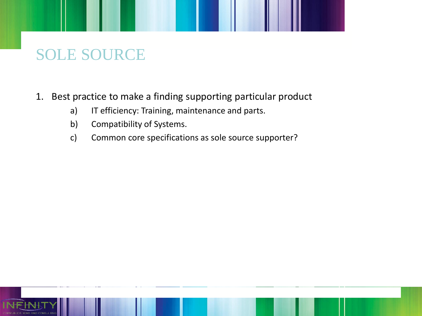# SOLE SOURCE

- 1. Best practice to make a finding supporting particular product
	- a) IT efficiency: Training, maintenance and parts.
	- b) Compatibility of Systems.
	- c) Common core specifications as sole source supporter?

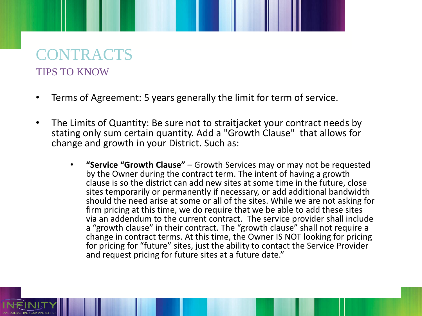## CONTRACTS TIPS TO KNOW

- Terms of Agreement: 5 years generally the limit for term of service.
- The Limits of Quantity: Be sure not to straitjacket your contract needs by stating only sum certain quantity. Add a "Growth Clause" that allows for change and growth in your District. Such as:
	- **"Service "Growth Clause"**  Growth Services may or may not be requested by the Owner during the contract term. The intent of having a growth clause is so the district can add new sites at some time in the future, close sites temporarily or permanently if necessary, or add additional bandwidth should the need arise at some or all of the sites. While we are not asking for firm pricing at this time, we do require that we be able to add these sites via an addendum to the current contract. The service provider shall include a "growth clause" in their contract. The "growth clause" shall not require a change in contract terms. At this time, the Owner IS NOT looking for pricing for pricing for "future" sites, just the ability to contact the Service Provider and request pricing for future sites at a future date."

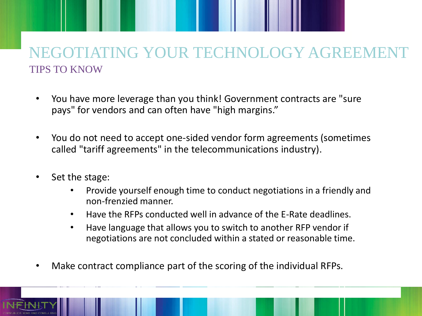## **GOTIATING YOUR TECHNOLOGY AGREE** TIPS TO KNOW

- You have more leverage than you think! Government contracts are "sure pays" for vendors and can often have "high margins."
- You do not need to accept one-sided vendor form agreements (sometimes called "tariff agreements" in the telecommunications industry).
- Set the stage:
	- Provide yourself enough time to conduct negotiations in a friendly and non-frenzied manner.
	- Have the RFPs conducted well in advance of the E-Rate deadlines.
	- Have language that allows you to switch to another RFP vendor if negotiations are not concluded within a stated or reasonable time.
- Make contract compliance part of the scoring of the individual RFPs.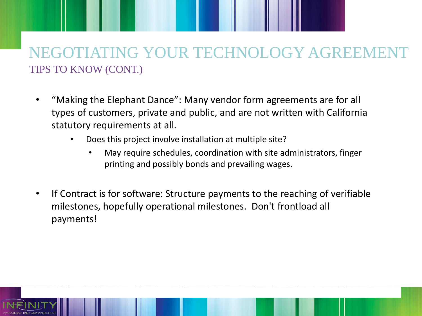## ATING YOUR TECHNOLOGY AGREE TIPS TO KNOW (CONT.)

- "Making the Elephant Dance": Many vendor form agreements are for all types of customers, private and public, and are not written with California statutory requirements at all.
	- Does this project involve installation at multiple site?
		- May require schedules, coordination with site administrators, finger printing and possibly bonds and prevailing wages.
- If Contract is for software: Structure payments to the reaching of verifiable milestones, hopefully operational milestones. Don't frontload all payments!

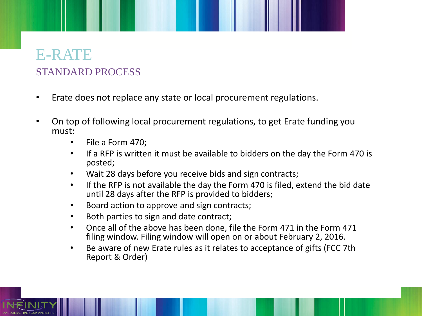### E-RATE STANDARD PROCESS

- Erate does not replace any state or local procurement regulations.
- On top of following local procurement regulations, to get Erate funding you must:
	- File a Form 470;
	- If a RFP is written it must be available to bidders on the day the Form 470 is posted;
	- Wait 28 days before you receive bids and sign contracts;
	- If the RFP is not available the day the Form 470 is filed, extend the bid date until 28 days after the RFP is provided to bidders;
	- Board action to approve and sign contracts;
	- Both parties to sign and date contract;
	- Once all of the above has been done, file the Form 471 in the Form 471 filing window. Filing window will open on or about February 2, 2016.
	- Be aware of new Erate rules as it relates to acceptance of gifts (FCC 7th Report & Order)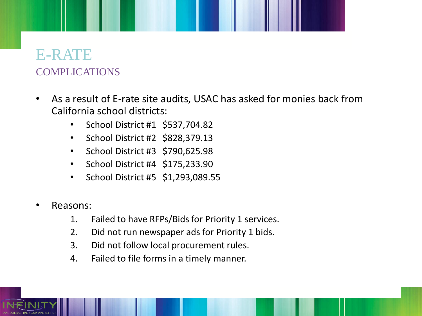### E-RATE COMPLICATIONS

- As a result of E-rate site audits, USAC has asked for monies back from California school districts:
	- School District #1 \$537,704.82
	- School District #2 \$828,379.13
	- School District #3 \$790,625.98
	- School District #4 \$175,233.90
	- School District #5 \$1,293,089.55
- Reasons:
	- 1. Failed to have RFPs/Bids for Priority 1 services.
	- 2. Did not run newspaper ads for Priority 1 bids.
	- 3. Did not follow local procurement rules.
	- 4. Failed to file forms in a timely manner.